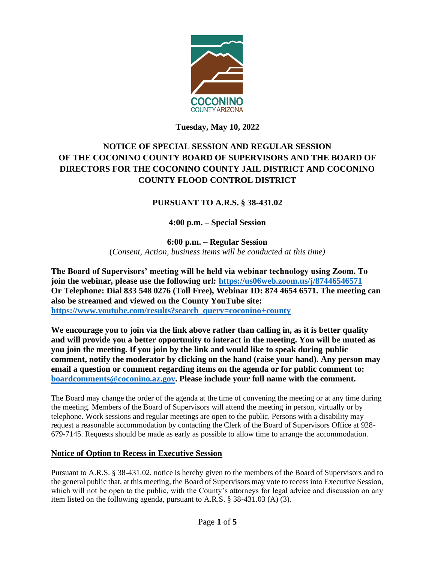

# **Tuesday, May 10, 2022**

# **NOTICE OF SPECIAL SESSION AND REGULAR SESSION OF THE COCONINO COUNTY BOARD OF SUPERVISORS AND THE BOARD OF DIRECTORS FOR THE COCONINO COUNTY JAIL DISTRICT AND COCONINO COUNTY FLOOD CONTROL DISTRICT**

# **PURSUANT TO A.R.S. § 38-431.02**

# **4:00 p.m. – Special Session**

**6:00 p.m. – Regular Session** (*Consent, Action, business items will be conducted at this time)*

**The Board of Supervisors' meeting will be held via webinar technology using Zoom. To join the webinar, please use the following url:<https://us06web.zoom.us/j/87446546571> Or Telephone: Dial 833 548 0276 (Toll Free), Webinar ID: 874 4654 6571. The meeting can also be streamed and viewed on the County YouTube site: [https://www.youtube.com/results?search\\_query=coconino+county](https://www.youtube.com/results?search_query=coconino+county)**

**We encourage you to join via the link above rather than calling in, as it is better quality and will provide you a better opportunity to interact in the meeting. You will be muted as you join the meeting. If you join by the link and would like to speak during public comment, notify the moderator by clicking on the hand (raise your hand). Any person may email a question or comment regarding items on the agenda or for public comment to: [boardcomments@coconino.az.gov.](mailto:boardcomments@coconino.az.gov) Please include your full name with the comment.** 

The Board may change the order of the agenda at the time of convening the meeting or at any time during the meeting. Members of the Board of Supervisors will attend the meeting in person, virtually or by telephone. Work sessions and regular meetings are open to the public. Persons with a disability may request a reasonable accommodation by contacting the Clerk of the Board of Supervisors Office at 928- 679-7145. Requests should be made as early as possible to allow time to arrange the accommodation.

### **Notice of Option to Recess in Executive Session**

Pursuant to A.R.S. § 38-431.02, notice is hereby given to the members of the Board of Supervisors and to the general public that, at this meeting, the Board of Supervisors may vote to recess into Executive Session, which will not be open to the public, with the County's attorneys for legal advice and discussion on any item listed on the following agenda, pursuant to A.R.S. § 38-431.03 (A) (3).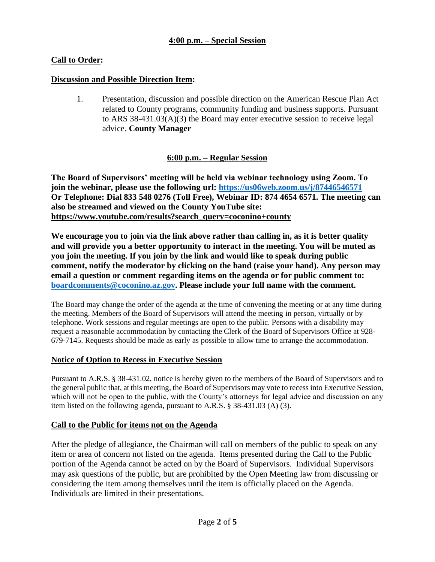# **Call to Order:**

### **Discussion and Possible Direction Item:**

1. Presentation, discussion and possible direction on the American Rescue Plan Act related to County programs, community funding and business supports. Pursuant to ARS 38-431.03(A)(3) the Board may enter executive session to receive legal advice. **County Manager**

### **6:00 p.m. – Regular Session**

**The Board of Supervisors' meeting will be held via webinar technology using Zoom. To join the webinar, please use the following url:<https://us06web.zoom.us/j/87446546571> Or Telephone: Dial 833 548 0276 (Toll Free), Webinar ID: 874 4654 6571. The meeting can also be streamed and viewed on the County YouTube site: [https://www.youtube.com/results?search\\_query=coconino+county](https://www.youtube.com/results?search_query=coconino+county)**

**We encourage you to join via the link above rather than calling in, as it is better quality and will provide you a better opportunity to interact in the meeting. You will be muted as you join the meeting. If you join by the link and would like to speak during public comment, notify the moderator by clicking on the hand (raise your hand). Any person may email a question or comment regarding items on the agenda or for public comment to: [boardcomments@coconino.az.gov.](mailto:boardcomments@coconino.az.gov) Please include your full name with the comment.** 

The Board may change the order of the agenda at the time of convening the meeting or at any time during the meeting. Members of the Board of Supervisors will attend the meeting in person, virtually or by telephone. Work sessions and regular meetings are open to the public. Persons with a disability may request a reasonable accommodation by contacting the Clerk of the Board of Supervisors Office at 928- 679-7145. Requests should be made as early as possible to allow time to arrange the accommodation.

#### **Notice of Option to Recess in Executive Session**

Pursuant to A.R.S. § 38-431.02, notice is hereby given to the members of the Board of Supervisors and to the general public that, at this meeting, the Board of Supervisors may vote to recess into Executive Session, which will not be open to the public, with the County's attorneys for legal advice and discussion on any item listed on the following agenda, pursuant to A.R.S. § 38-431.03 (A) (3).

#### **Call to the Public for items not on the Agenda**

After the pledge of allegiance, the Chairman will call on members of the public to speak on any item or area of concern not listed on the agenda. Items presented during the Call to the Public portion of the Agenda cannot be acted on by the Board of Supervisors. Individual Supervisors may ask questions of the public, but are prohibited by the Open Meeting law from discussing or considering the item among themselves until the item is officially placed on the Agenda. Individuals are limited in their presentations.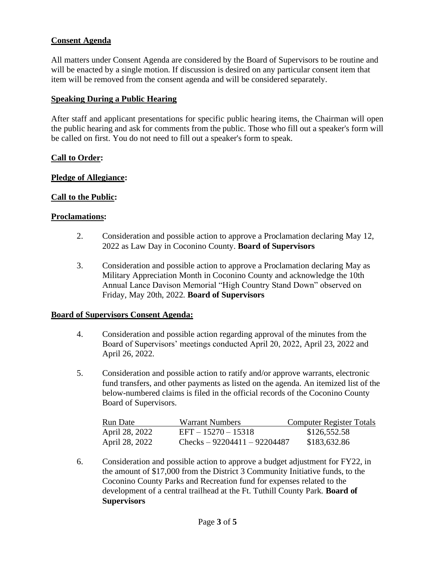# **Consent Agenda**

All matters under Consent Agenda are considered by the Board of Supervisors to be routine and will be enacted by a single motion. If discussion is desired on any particular consent item that item will be removed from the consent agenda and will be considered separately.

#### **Speaking During a Public Hearing**

After staff and applicant presentations for specific public hearing items, the Chairman will open the public hearing and ask for comments from the public. Those who fill out a speaker's form will be called on first. You do not need to fill out a speaker's form to speak.

### **Call to Order:**

#### **Pledge of Allegiance:**

### **Call to the Public:**

#### **Proclamations:**

- 2. Consideration and possible action to approve a Proclamation declaring May 12, 2022 as Law Day in Coconino County. **Board of Supervisors**
- 3. Consideration and possible action to approve a Proclamation declaring May as Military Appreciation Month in Coconino County and acknowledge the 10th Annual Lance Davison Memorial "High Country Stand Down" observed on Friday, May 20th, 2022. **Board of Supervisors**

#### **Board of Supervisors Consent Agenda:**

- 4. Consideration and possible action regarding approval of the minutes from the Board of Supervisors' meetings conducted April 20, 2022, April 23, 2022 and April 26, 2022.
- 5. Consideration and possible action to ratify and/or approve warrants, electronic fund transfers, and other payments as listed on the agenda. An itemized list of the below-numbered claims is filed in the official records of the Coconino County Board of Supervisors.

| Run Date       | Warrant Numbers               | <b>Computer Register Totals</b> |
|----------------|-------------------------------|---------------------------------|
| April 28, 2022 | $EFT - 15270 - 15318$         | \$126,552.58                    |
| April 28, 2022 | Checks $-92204411 - 92204487$ | \$183,632.86                    |

6. Consideration and possible action to approve a budget adjustment for FY22, in the amount of \$17,000 from the District 3 Community Initiative funds, to the Coconino County Parks and Recreation fund for expenses related to the development of a central trailhead at the Ft. Tuthill County Park. **Board of Supervisors**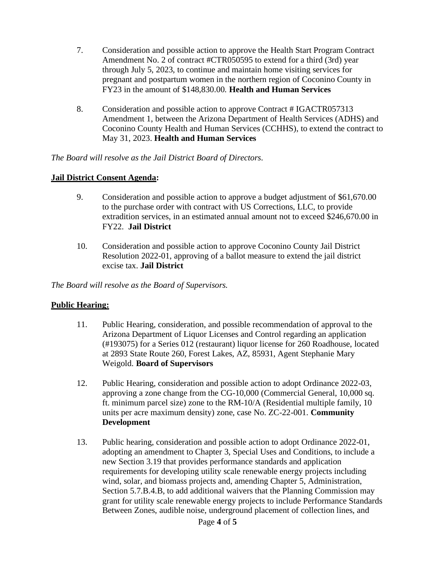- 7. Consideration and possible action to approve the Health Start Program Contract Amendment No. 2 of contract #CTR050595 to extend for a third (3rd) year through July 5, 2023, to continue and maintain home visiting services for pregnant and postpartum women in the northern region of Coconino County in FY23 in the amount of \$148,830.00. **Health and Human Services**
- 8. Consideration and possible action to approve Contract # IGACTR057313 Amendment 1, between the Arizona Department of Health Services (ADHS) and Coconino County Health and Human Services (CCHHS), to extend the contract to May 31, 2023. **Health and Human Services**

*The Board will resolve as the Jail District Board of Directors.*

### **Jail District Consent Agenda:**

- 9. Consideration and possible action to approve a budget adjustment of \$61,670.00 to the purchase order with contract with US Corrections, LLC, to provide extradition services, in an estimated annual amount not to exceed \$246,670.00 in FY22. **Jail District**
- 10. Consideration and possible action to approve Coconino County Jail District Resolution 2022-01, approving of a ballot measure to extend the jail district excise tax. **Jail District**

*The Board will resolve as the Board of Supervisors.*

### **Public Hearing:**

- 11. Public Hearing, consideration, and possible recommendation of approval to the Arizona Department of Liquor Licenses and Control regarding an application (#193075) for a Series 012 (restaurant) liquor license for 260 Roadhouse, located at 2893 State Route 260, Forest Lakes, AZ, 85931, Agent Stephanie Mary Weigold. **Board of Supervisors**
- 12. Public Hearing, consideration and possible action to adopt Ordinance 2022-03, approving a zone change from the CG-10,000 (Commercial General, 10,000 sq. ft. minimum parcel size) zone to the RM-10/A (Residential multiple family, 10 units per acre maximum density) zone, case No. ZC-22-001. **Community Development**
- 13. Public hearing, consideration and possible action to adopt Ordinance 2022-01, adopting an amendment to Chapter 3, Special Uses and Conditions, to include a new Section 3.19 that provides performance standards and application requirements for developing utility scale renewable energy projects including wind, solar, and biomass projects and, amending Chapter 5, Administration, Section 5.7.B.4.B, to add additional waivers that the Planning Commission may grant for utility scale renewable energy projects to include Performance Standards Between Zones, audible noise, underground placement of collection lines, and